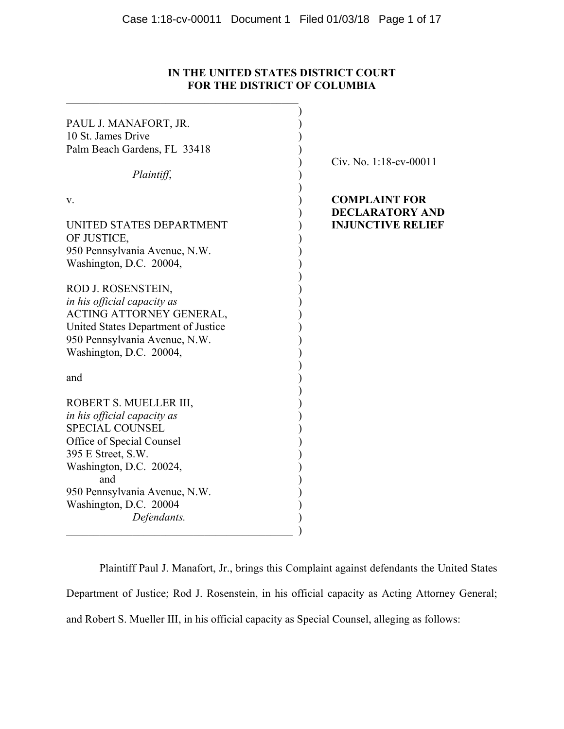# **IN THE UNITED STATES DISTRICT COURT FOR THE DISTRICT OF COLUMBIA**

| PAUL J. MANAFORT, JR.                   |                                                |
|-----------------------------------------|------------------------------------------------|
| 10 St. James Drive                      |                                                |
| Palm Beach Gardens, FL 33418            |                                                |
|                                         | Civ. No. 1:18-cv-00011                         |
| Plaintiff,                              |                                                |
| V.                                      | <b>COMPLAINT FOR</b><br><b>DECLARATORY AND</b> |
| UNITED STATES DEPARTMENT<br>OF JUSTICE, | <b>INJUNCTIVE RELIEF</b>                       |
| 950 Pennsylvania Avenue, N.W.           |                                                |
| Washington, D.C. 20004,                 |                                                |
| ROD J. ROSENSTEIN,                      |                                                |
| in his official capacity as             |                                                |
| ACTING ATTORNEY GENERAL,                |                                                |
| United States Department of Justice     |                                                |
| 950 Pennsylvania Avenue, N.W.           |                                                |
| Washington, D.C. 20004,                 |                                                |
| and                                     |                                                |
|                                         |                                                |
| ROBERT S. MUELLER III,                  |                                                |
| in his official capacity as             |                                                |
| <b>SPECIAL COUNSEL</b>                  |                                                |
| Office of Special Counsel               |                                                |
| 395 E Street, S.W.                      |                                                |
| Washington, D.C. 20024,<br>and          |                                                |
| 950 Pennsylvania Avenue, N.W.           |                                                |
| Washington, D.C. 20004                  |                                                |
| Defendants.                             |                                                |
|                                         |                                                |

Plaintiff Paul J. Manafort, Jr., brings this Complaint against defendants the United States Department of Justice; Rod J. Rosenstein, in his official capacity as Acting Attorney General; and Robert S. Mueller III, in his official capacity as Special Counsel, alleging as follows: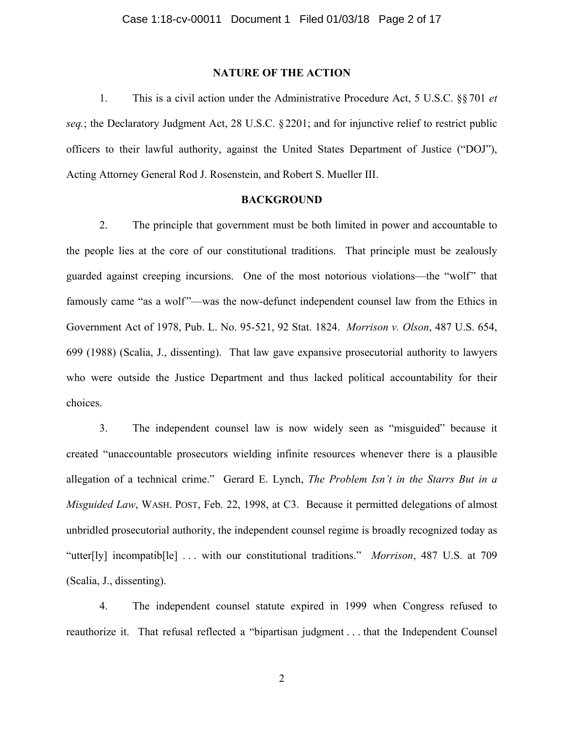# **NATURE OF THE ACTION**

1. This is a civil action under the Administrative Procedure Act, 5 U.S.C. §§701 *et seq.*; the Declaratory Judgment Act, 28 U.S.C. §2201; and for injunctive relief to restrict public officers to their lawful authority, against the United States Department of Justice ("DOJ"), Acting Attorney General Rod J. Rosenstein, and Robert S. Mueller III.

# **BACKGROUND**

2. The principle that government must be both limited in power and accountable to the people lies at the core of our constitutional traditions. That principle must be zealously guarded against creeping incursions. One of the most notorious violations—the "wolf" that famously came "as a wolf"—was the now-defunct independent counsel law from the Ethics in Government Act of 1978, Pub. L. No. 95-521, 92 Stat. 1824. *Morrison v. Olson*, 487 U.S. 654, 699 (1988) (Scalia, J., dissenting). That law gave expansive prosecutorial authority to lawyers who were outside the Justice Department and thus lacked political accountability for their choices.

3. The independent counsel law is now widely seen as "misguided" because it created "unaccountable prosecutors wielding infinite resources whenever there is a plausible allegation of a technical crime." Gerard E. Lynch, *The Problem Isn't in the Starrs But in a Misguided Law*, WASH. POST, Feb. 22, 1998, at C3. Because it permitted delegations of almost unbridled prosecutorial authority, the independent counsel regime is broadly recognized today as "utter[ly] incompatib[le] . . . with our constitutional traditions." *Morrison*, 487 U.S. at 709 (Scalia, J., dissenting).

4. The independent counsel statute expired in 1999 when Congress refused to reauthorize it. That refusal reflected a "bipartisan judgment . . . that the Independent Counsel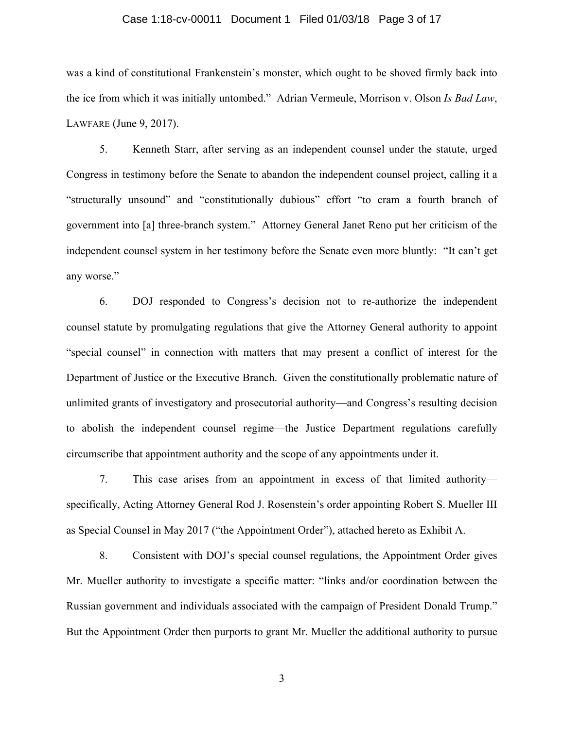# Case 1:18-cv-00011 Document 1 Filed 01/03/18 Page 3 of 17

was a kind of constitutional Frankenstein's monster, which ought to be shoved firmly back into the ice from which it was initially untombed." Adrian Vermeule, Morrison v. Olson *Is Bad Law*, LAWFARE (June 9, 2017).

5. Kenneth Starr, after serving as an independent counsel under the statute, urged Congress in testimony before the Senate to abandon the independent counsel project, calling it a "structurally unsound" and "constitutionally dubious" effort "to cram a fourth branch of government into [a] three-branch system." Attorney General Janet Reno put her criticism of the independent counsel system in her testimony before the Senate even more bluntly: "It can't get any worse."

6. DOJ responded to Congress's decision not to re-authorize the independent counsel statute by promulgating regulations that give the Attorney General authority to appoint "special counsel" in connection with matters that may present a conflict of interest for the Department of Justice or the Executive Branch. Given the constitutionally problematic nature of unlimited grants of investigatory and prosecutorial authority—and Congress's resulting decision to abolish the independent counsel regime—the Justice Department regulations carefully circumscribe that appointment authority and the scope of any appointments under it.

7. This case arises from an appointment in excess of that limited authority specifically, Acting Attorney General Rod J. Rosenstein's order appointing Robert S. Mueller III as Special Counsel in May 2017 ("the Appointment Order"), attached hereto as Exhibit A.

8. Consistent with DOJ's special counsel regulations, the Appointment Order gives Mr. Mueller authority to investigate a specific matter: "links and/or coordination between the Russian government and individuals associated with the campaign of President Donald Trump." But the Appointment Order then purports to grant Mr. Mueller the additional authority to pursue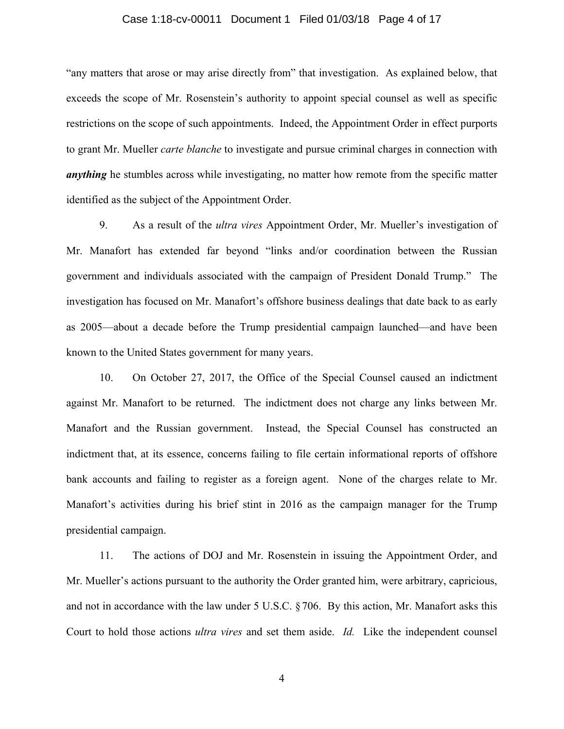# Case 1:18-cv-00011 Document 1 Filed 01/03/18 Page 4 of 17

"any matters that arose or may arise directly from" that investigation. As explained below, that exceeds the scope of Mr. Rosenstein's authority to appoint special counsel as well as specific restrictions on the scope of such appointments. Indeed, the Appointment Order in effect purports to grant Mr. Mueller *carte blanche* to investigate and pursue criminal charges in connection with *anything* he stumbles across while investigating, no matter how remote from the specific matter identified as the subject of the Appointment Order.

9. As a result of the *ultra vires* Appointment Order, Mr. Mueller's investigation of Mr. Manafort has extended far beyond "links and/or coordination between the Russian government and individuals associated with the campaign of President Donald Trump." The investigation has focused on Mr. Manafort's offshore business dealings that date back to as early as 2005—about a decade before the Trump presidential campaign launched—and have been known to the United States government for many years.

10. On October 27, 2017, the Office of the Special Counsel caused an indictment against Mr. Manafort to be returned. The indictment does not charge any links between Mr. Manafort and the Russian government. Instead, the Special Counsel has constructed an indictment that, at its essence, concerns failing to file certain informational reports of offshore bank accounts and failing to register as a foreign agent. None of the charges relate to Mr. Manafort's activities during his brief stint in 2016 as the campaign manager for the Trump presidential campaign.

11. The actions of DOJ and Mr. Rosenstein in issuing the Appointment Order, and Mr. Mueller's actions pursuant to the authority the Order granted him, were arbitrary, capricious, and not in accordance with the law under 5 U.S.C. §706. By this action, Mr. Manafort asks this Court to hold those actions *ultra vires* and set them aside. *Id.* Like the independent counsel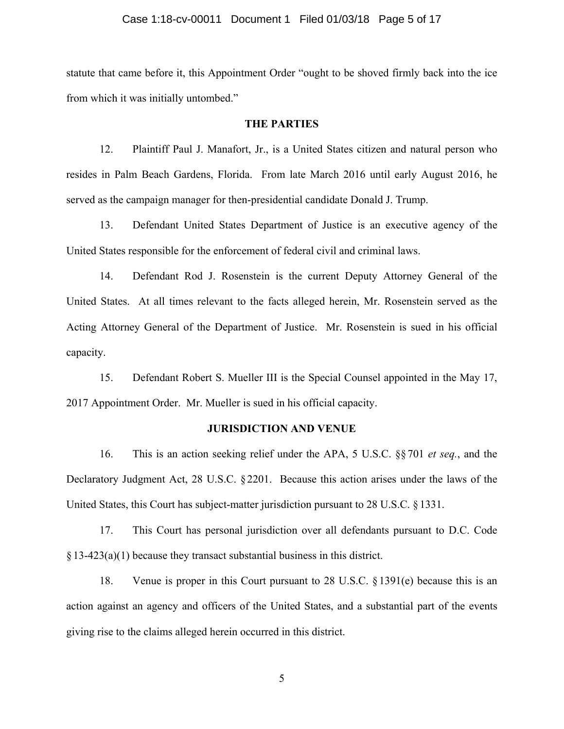# Case 1:18-cv-00011 Document 1 Filed 01/03/18 Page 5 of 17

statute that came before it, this Appointment Order "ought to be shoved firmly back into the ice from which it was initially untombed."

# **THE PARTIES**

12. Plaintiff Paul J. Manafort, Jr., is a United States citizen and natural person who resides in Palm Beach Gardens, Florida. From late March 2016 until early August 2016, he served as the campaign manager for then-presidential candidate Donald J. Trump.

13. Defendant United States Department of Justice is an executive agency of the United States responsible for the enforcement of federal civil and criminal laws.

14. Defendant Rod J. Rosenstein is the current Deputy Attorney General of the United States. At all times relevant to the facts alleged herein, Mr. Rosenstein served as the Acting Attorney General of the Department of Justice. Mr. Rosenstein is sued in his official capacity.

15. Defendant Robert S. Mueller III is the Special Counsel appointed in the May 17, 2017 Appointment Order. Mr. Mueller is sued in his official capacity.

#### **JURISDICTION AND VENUE**

16. This is an action seeking relief under the APA, 5 U.S.C. §§ 701 *et seq.*, and the Declaratory Judgment Act, 28 U.S.C. §2201. Because this action arises under the laws of the United States, this Court has subject-matter jurisdiction pursuant to 28 U.S.C. § 1331.

17. This Court has personal jurisdiction over all defendants pursuant to D.C. Code §13-423(a)(1) because they transact substantial business in this district.

18. Venue is proper in this Court pursuant to 28 U.S.C. §1391(e) because this is an action against an agency and officers of the United States, and a substantial part of the events giving rise to the claims alleged herein occurred in this district.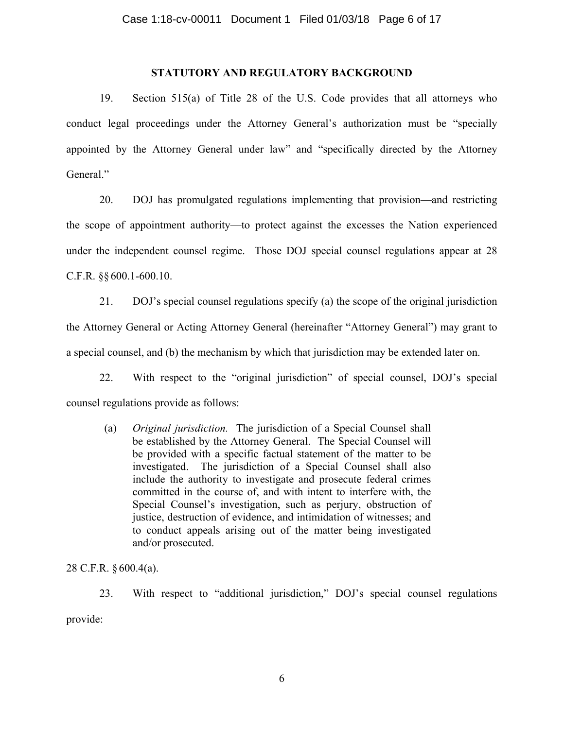# **STATUTORY AND REGULATORY BACKGROUND**

19. Section 515(a) of Title 28 of the U.S. Code provides that all attorneys who conduct legal proceedings under the Attorney General's authorization must be "specially appointed by the Attorney General under law" and "specifically directed by the Attorney General."

20. DOJ has promulgated regulations implementing that provision—and restricting the scope of appointment authority—to protect against the excesses the Nation experienced under the independent counsel regime. Those DOJ special counsel regulations appear at 28 C.F.R. §§600.1-600.10.

21. DOJ's special counsel regulations specify (a) the scope of the original jurisdiction the Attorney General or Acting Attorney General (hereinafter "Attorney General") may grant to a special counsel, and (b) the mechanism by which that jurisdiction may be extended later on.

22. With respect to the "original jurisdiction" of special counsel, DOJ's special counsel regulations provide as follows:

(a) *Original jurisdiction.* The jurisdiction of a Special Counsel shall be established by the Attorney General. The Special Counsel will be provided with a specific factual statement of the matter to be investigated. The jurisdiction of a Special Counsel shall also include the authority to investigate and prosecute federal crimes committed in the course of, and with intent to interfere with, the Special Counsel's investigation, such as perjury, obstruction of justice, destruction of evidence, and intimidation of witnesses; and to conduct appeals arising out of the matter being investigated and/or prosecuted.

28 C.F.R. § 600.4(a).

23. With respect to "additional jurisdiction," DOJ's special counsel regulations provide: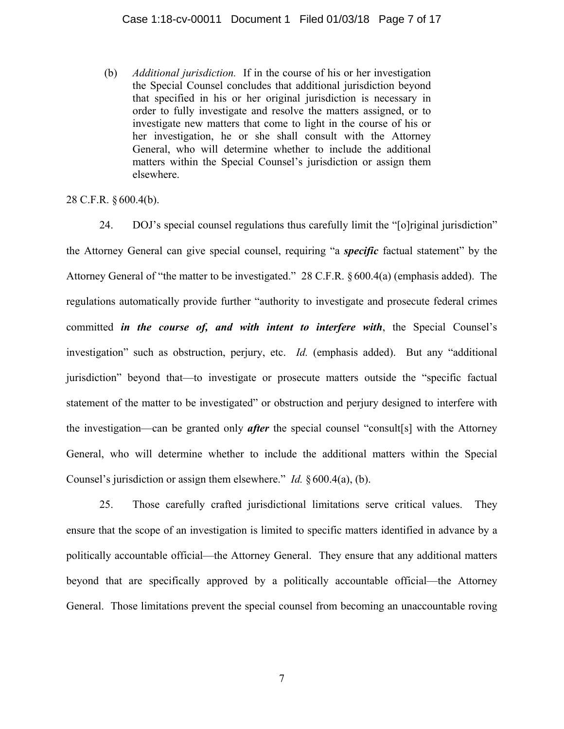(b) *Additional jurisdiction.* If in the course of his or her investigation the Special Counsel concludes that additional jurisdiction beyond that specified in his or her original jurisdiction is necessary in order to fully investigate and resolve the matters assigned, or to investigate new matters that come to light in the course of his or her investigation, he or she shall consult with the Attorney General, who will determine whether to include the additional matters within the Special Counsel's jurisdiction or assign them elsewhere.

# 28 C.F.R. § 600.4(b).

24. DOJ's special counsel regulations thus carefully limit the "[o]riginal jurisdiction" the Attorney General can give special counsel, requiring "a *specific* factual statement" by the Attorney General of "the matter to be investigated." 28 C.F.R. §600.4(a) (emphasis added). The regulations automatically provide further "authority to investigate and prosecute federal crimes committed *in the course of, and with intent to interfere with*, the Special Counsel's investigation" such as obstruction, perjury, etc. *Id.* (emphasis added). But any "additional jurisdiction" beyond that—to investigate or prosecute matters outside the "specific factual statement of the matter to be investigated" or obstruction and perjury designed to interfere with the investigation—can be granted only *after* the special counsel "consult[s] with the Attorney General, who will determine whether to include the additional matters within the Special Counsel's jurisdiction or assign them elsewhere." *Id.* § 600.4(a), (b).

25. Those carefully crafted jurisdictional limitations serve critical values. They ensure that the scope of an investigation is limited to specific matters identified in advance by a politically accountable official—the Attorney General. They ensure that any additional matters beyond that are specifically approved by a politically accountable official—the Attorney General. Those limitations prevent the special counsel from becoming an unaccountable roving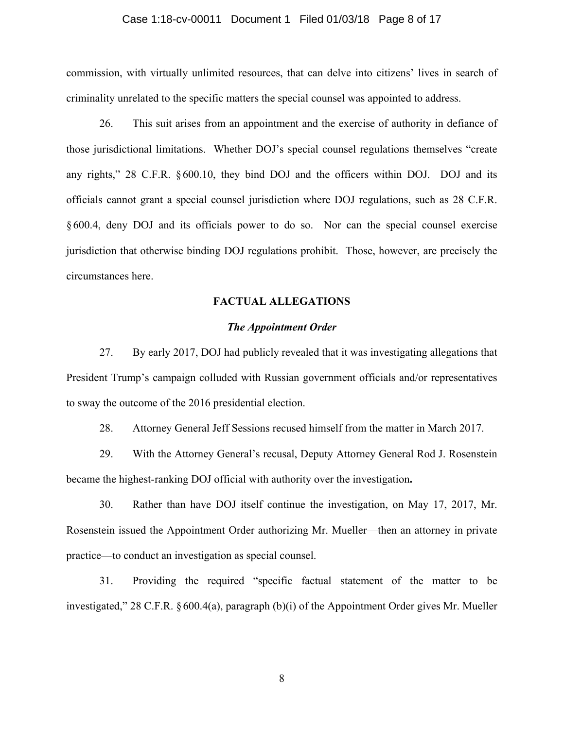# Case 1:18-cv-00011 Document 1 Filed 01/03/18 Page 8 of 17

commission, with virtually unlimited resources, that can delve into citizens' lives in search of criminality unrelated to the specific matters the special counsel was appointed to address.

26. This suit arises from an appointment and the exercise of authority in defiance of those jurisdictional limitations. Whether DOJ's special counsel regulations themselves "create any rights," 28 C.F.R. § 600.10, they bind DOJ and the officers within DOJ. DOJ and its officials cannot grant a special counsel jurisdiction where DOJ regulations, such as 28 C.F.R. § 600.4, deny DOJ and its officials power to do so. Nor can the special counsel exercise jurisdiction that otherwise binding DOJ regulations prohibit. Those, however, are precisely the circumstances here.

### **FACTUAL ALLEGATIONS**

# *The Appointment Order*

27. By early 2017, DOJ had publicly revealed that it was investigating allegations that President Trump's campaign colluded with Russian government officials and/or representatives to sway the outcome of the 2016 presidential election.

28. Attorney General Jeff Sessions recused himself from the matter in March 2017.

29. With the Attorney General's recusal, Deputy Attorney General Rod J. Rosenstein became the highest-ranking DOJ official with authority over the investigation**.**

30. Rather than have DOJ itself continue the investigation, on May 17, 2017, Mr. Rosenstein issued the Appointment Order authorizing Mr. Mueller—then an attorney in private practice—to conduct an investigation as special counsel.

31. Providing the required "specific factual statement of the matter to be investigated," 28 C.F.R. §600.4(a), paragraph (b)(i) of the Appointment Order gives Mr. Mueller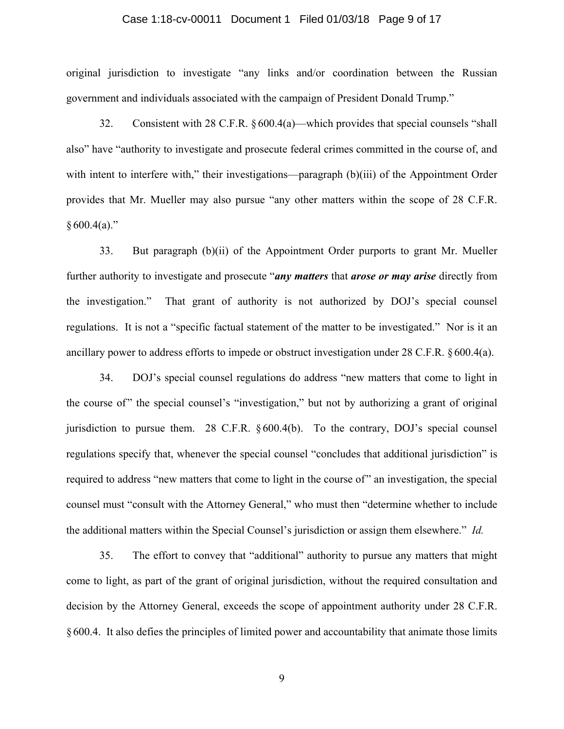#### Case 1:18-cv-00011 Document 1 Filed 01/03/18 Page 9 of 17

original jurisdiction to investigate "any links and/or coordination between the Russian government and individuals associated with the campaign of President Donald Trump."

32. Consistent with 28 C.F.R. §600.4(a)—which provides that special counsels "shall also" have "authority to investigate and prosecute federal crimes committed in the course of, and with intent to interfere with," their investigations—paragraph (b)(iii) of the Appointment Order provides that Mr. Mueller may also pursue "any other matters within the scope of 28 C.F.R.  $§ 600.4(a)."$ 

33. But paragraph (b)(ii) of the Appointment Order purports to grant Mr. Mueller further authority to investigate and prosecute "*any matters* that *arose or may arise* directly from the investigation." That grant of authority is not authorized by DOJ's special counsel regulations. It is not a "specific factual statement of the matter to be investigated." Nor is it an ancillary power to address efforts to impede or obstruct investigation under 28 C.F.R. § 600.4(a).

34. DOJ's special counsel regulations do address "new matters that come to light in the course of" the special counsel's "investigation," but not by authorizing a grant of original jurisdiction to pursue them. 28 C.F.R. §600.4(b). To the contrary, DOJ's special counsel regulations specify that, whenever the special counsel "concludes that additional jurisdiction" is required to address "new matters that come to light in the course of" an investigation, the special counsel must "consult with the Attorney General," who must then "determine whether to include the additional matters within the Special Counsel's jurisdiction or assign them elsewhere." *Id.*

35. The effort to convey that "additional" authority to pursue any matters that might come to light, as part of the grant of original jurisdiction, without the required consultation and decision by the Attorney General, exceeds the scope of appointment authority under 28 C.F.R. §600.4. It also defies the principles of limited power and accountability that animate those limits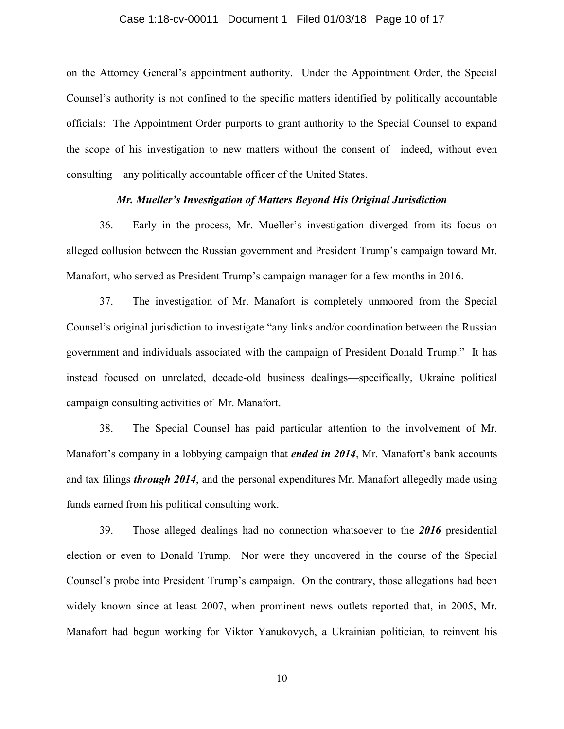### Case 1:18-cv-00011 Document 1 Filed 01/03/18 Page 10 of 17

on the Attorney General's appointment authority. Under the Appointment Order, the Special Counsel's authority is not confined to the specific matters identified by politically accountable officials: The Appointment Order purports to grant authority to the Special Counsel to expand the scope of his investigation to new matters without the consent of—indeed, without even consulting—any politically accountable officer of the United States.

# *Mr. Mueller's Investigation of Matters Beyond His Original Jurisdiction*

36. Early in the process, Mr. Mueller's investigation diverged from its focus on alleged collusion between the Russian government and President Trump's campaign toward Mr. Manafort, who served as President Trump's campaign manager for a few months in 2016.

37. The investigation of Mr. Manafort is completely unmoored from the Special Counsel's original jurisdiction to investigate "any links and/or coordination between the Russian government and individuals associated with the campaign of President Donald Trump." It has instead focused on unrelated, decade-old business dealings—specifically, Ukraine political campaign consulting activities of Mr. Manafort.

38. The Special Counsel has paid particular attention to the involvement of Mr. Manafort's company in a lobbying campaign that *ended in 2014*, Mr. Manafort's bank accounts and tax filings *through 2014*, and the personal expenditures Mr. Manafort allegedly made using funds earned from his political consulting work.

39. Those alleged dealings had no connection whatsoever to the *2016* presidential election or even to Donald Trump. Nor were they uncovered in the course of the Special Counsel's probe into President Trump's campaign. On the contrary, those allegations had been widely known since at least 2007, when prominent news outlets reported that, in 2005, Mr. Manafort had begun working for Viktor Yanukovych, a Ukrainian politician, to reinvent his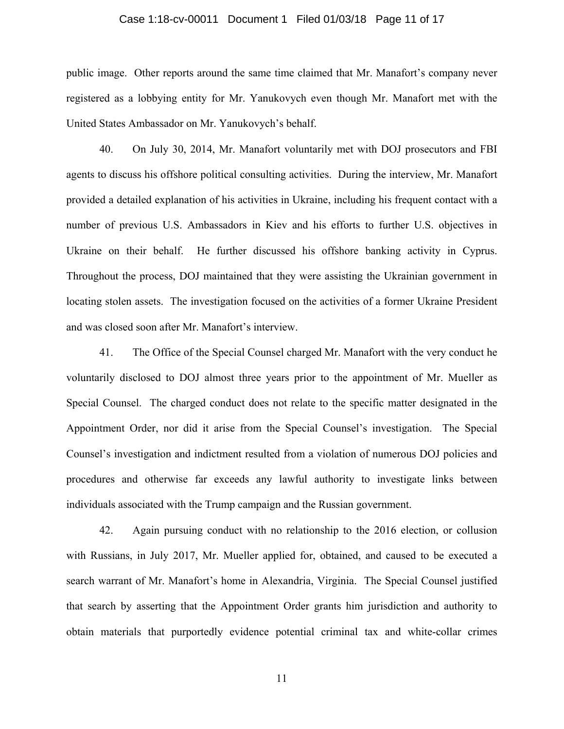# Case 1:18-cv-00011 Document 1 Filed 01/03/18 Page 11 of 17

public image. Other reports around the same time claimed that Mr. Manafort's company never registered as a lobbying entity for Mr. Yanukovych even though Mr. Manafort met with the United States Ambassador on Mr. Yanukovych's behalf.

40. On July 30, 2014, Mr. Manafort voluntarily met with DOJ prosecutors and FBI agents to discuss his offshore political consulting activities. During the interview, Mr. Manafort provided a detailed explanation of his activities in Ukraine, including his frequent contact with a number of previous U.S. Ambassadors in Kiev and his efforts to further U.S. objectives in Ukraine on their behalf. He further discussed his offshore banking activity in Cyprus. Throughout the process, DOJ maintained that they were assisting the Ukrainian government in locating stolen assets. The investigation focused on the activities of a former Ukraine President and was closed soon after Mr. Manafort's interview.

41. The Office of the Special Counsel charged Mr. Manafort with the very conduct he voluntarily disclosed to DOJ almost three years prior to the appointment of Mr. Mueller as Special Counsel. The charged conduct does not relate to the specific matter designated in the Appointment Order, nor did it arise from the Special Counsel's investigation. The Special Counsel's investigation and indictment resulted from a violation of numerous DOJ policies and procedures and otherwise far exceeds any lawful authority to investigate links between individuals associated with the Trump campaign and the Russian government.

42. Again pursuing conduct with no relationship to the 2016 election, or collusion with Russians, in July 2017, Mr. Mueller applied for, obtained, and caused to be executed a search warrant of Mr. Manafort's home in Alexandria, Virginia. The Special Counsel justified that search by asserting that the Appointment Order grants him jurisdiction and authority to obtain materials that purportedly evidence potential criminal tax and white-collar crimes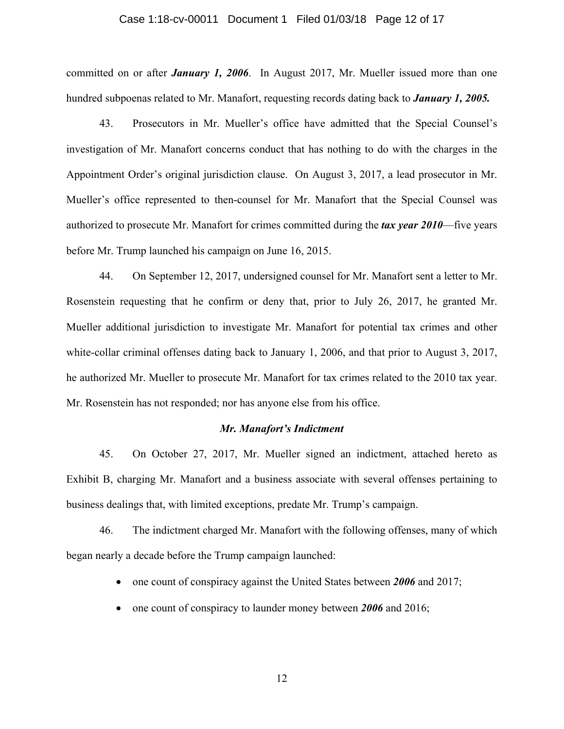#### Case 1:18-cv-00011 Document 1 Filed 01/03/18 Page 12 of 17

committed on or after *January 1, 2006*. In August 2017, Mr. Mueller issued more than one hundred subpoenas related to Mr. Manafort, requesting records dating back to *January 1, 2005.*

43. Prosecutors in Mr. Mueller's office have admitted that the Special Counsel's investigation of Mr. Manafort concerns conduct that has nothing to do with the charges in the Appointment Order's original jurisdiction clause. On August 3, 2017, a lead prosecutor in Mr. Mueller's office represented to then-counsel for Mr. Manafort that the Special Counsel was authorized to prosecute Mr. Manafort for crimes committed during the *tax year 2010*—five years before Mr. Trump launched his campaign on June 16, 2015.

44. On September 12, 2017, undersigned counsel for Mr. Manafort sent a letter to Mr. Rosenstein requesting that he confirm or deny that, prior to July 26, 2017, he granted Mr. Mueller additional jurisdiction to investigate Mr. Manafort for potential tax crimes and other white-collar criminal offenses dating back to January 1, 2006, and that prior to August 3, 2017, he authorized Mr. Mueller to prosecute Mr. Manafort for tax crimes related to the 2010 tax year. Mr. Rosenstein has not responded; nor has anyone else from his office.

# *Mr. Manafort's Indictment*

45. On October 27, 2017, Mr. Mueller signed an indictment, attached hereto as Exhibit B, charging Mr. Manafort and a business associate with several offenses pertaining to business dealings that, with limited exceptions, predate Mr. Trump's campaign.

46. The indictment charged Mr. Manafort with the following offenses, many of which began nearly a decade before the Trump campaign launched:

- one count of conspiracy against the United States between **2006** and 2017;
- one count of conspiracy to launder money between **2006** and 2016;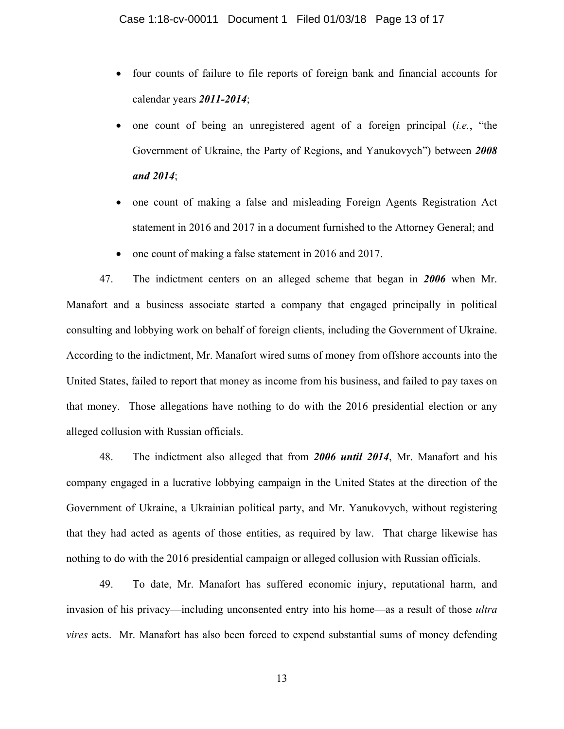- four counts of failure to file reports of foreign bank and financial accounts for calendar years *2011-2014*;
- one count of being an unregistered agent of a foreign principal (*i.e.*, "the Government of Ukraine, the Party of Regions, and Yanukovych") between *2008 and 2014*;
- one count of making a false and misleading Foreign Agents Registration Act statement in 2016 and 2017 in a document furnished to the Attorney General; and
- one count of making a false statement in 2016 and 2017.

47. The indictment centers on an alleged scheme that began in *2006* when Mr. Manafort and a business associate started a company that engaged principally in political consulting and lobbying work on behalf of foreign clients, including the Government of Ukraine. According to the indictment, Mr. Manafort wired sums of money from offshore accounts into the United States, failed to report that money as income from his business, and failed to pay taxes on that money. Those allegations have nothing to do with the 2016 presidential election or any alleged collusion with Russian officials.

48. The indictment also alleged that from *2006 until 2014*, Mr. Manafort and his company engaged in a lucrative lobbying campaign in the United States at the direction of the Government of Ukraine, a Ukrainian political party, and Mr. Yanukovych, without registering that they had acted as agents of those entities, as required by law. That charge likewise has nothing to do with the 2016 presidential campaign or alleged collusion with Russian officials.

49. To date, Mr. Manafort has suffered economic injury, reputational harm, and invasion of his privacy—including unconsented entry into his home—as a result of those *ultra vires* acts. Mr. Manafort has also been forced to expend substantial sums of money defending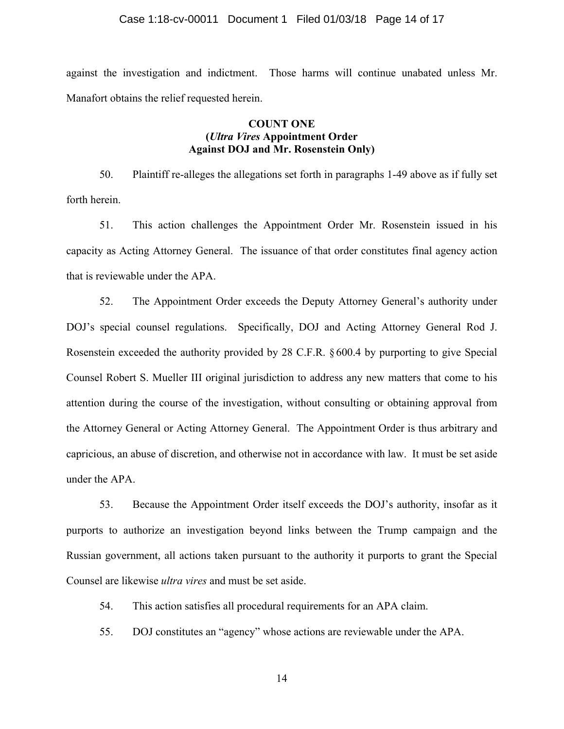#### Case 1:18-cv-00011 Document 1 Filed 01/03/18 Page 14 of 17

against the investigation and indictment. Those harms will continue unabated unless Mr. Manafort obtains the relief requested herein.

# **COUNT ONE (***Ultra Vires* **Appointment Order Against DOJ and Mr. Rosenstein Only)**

50. Plaintiff re-alleges the allegations set forth in paragraphs 1-49 above as if fully set forth herein.

51. This action challenges the Appointment Order Mr. Rosenstein issued in his capacity as Acting Attorney General. The issuance of that order constitutes final agency action that is reviewable under the APA.

52. The Appointment Order exceeds the Deputy Attorney General's authority under DOJ's special counsel regulations. Specifically, DOJ and Acting Attorney General Rod J. Rosenstein exceeded the authority provided by 28 C.F.R. § 600.4 by purporting to give Special Counsel Robert S. Mueller III original jurisdiction to address any new matters that come to his attention during the course of the investigation, without consulting or obtaining approval from the Attorney General or Acting Attorney General. The Appointment Order is thus arbitrary and capricious, an abuse of discretion, and otherwise not in accordance with law. It must be set aside under the APA.

53. Because the Appointment Order itself exceeds the DOJ's authority, insofar as it purports to authorize an investigation beyond links between the Trump campaign and the Russian government, all actions taken pursuant to the authority it purports to grant the Special Counsel are likewise *ultra vires* and must be set aside.

54. This action satisfies all procedural requirements for an APA claim.

55. DOJ constitutes an "agency" whose actions are reviewable under the APA.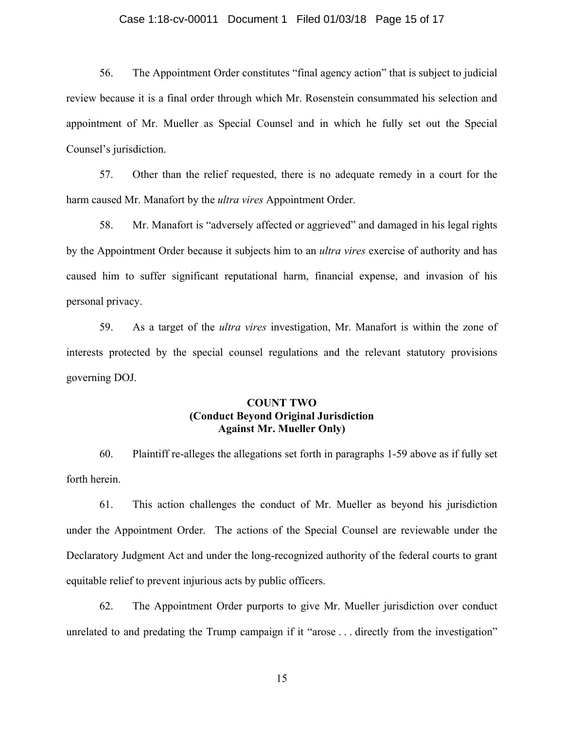# Case 1:18-cv-00011 Document 1 Filed 01/03/18 Page 15 of 17

56. The Appointment Order constitutes "final agency action" that is subject to judicial review because it is a final order through which Mr. Rosenstein consummated his selection and appointment of Mr. Mueller as Special Counsel and in which he fully set out the Special Counsel's jurisdiction.

57. Other than the relief requested, there is no adequate remedy in a court for the harm caused Mr. Manafort by the *ultra vires* Appointment Order.

58. Mr. Manafort is "adversely affected or aggrieved" and damaged in his legal rights by the Appointment Order because it subjects him to an *ultra vires* exercise of authority and has caused him to suffer significant reputational harm, financial expense, and invasion of his personal privacy.

59. As a target of the *ultra vires* investigation, Mr. Manafort is within the zone of interests protected by the special counsel regulations and the relevant statutory provisions governing DOJ.

# **COUNT TWO (Conduct Beyond Original Jurisdiction Against Mr. Mueller Only)**

60. Plaintiff re-alleges the allegations set forth in paragraphs 1-59 above as if fully set forth herein.

61. This action challenges the conduct of Mr. Mueller as beyond his jurisdiction under the Appointment Order. The actions of the Special Counsel are reviewable under the Declaratory Judgment Act and under the long-recognized authority of the federal courts to grant equitable relief to prevent injurious acts by public officers.

62. The Appointment Order purports to give Mr. Mueller jurisdiction over conduct unrelated to and predating the Trump campaign if it "arose . . . directly from the investigation"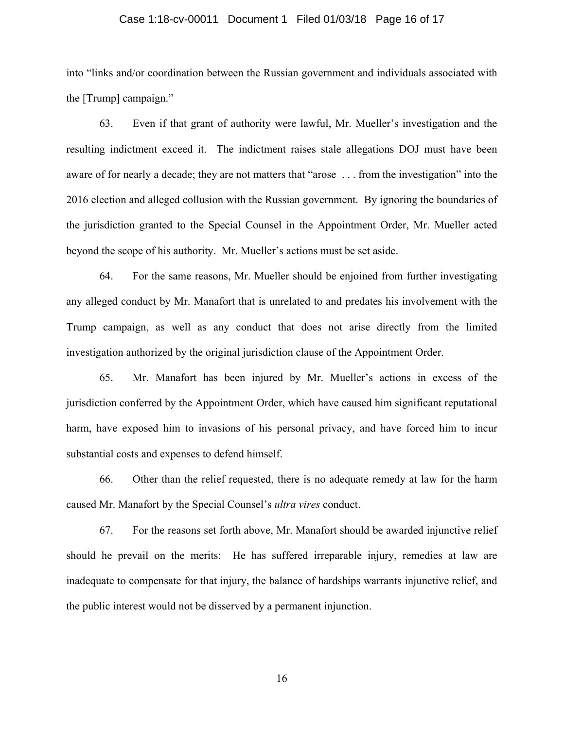### Case 1:18-cv-00011 Document 1 Filed 01/03/18 Page 16 of 17

into "links and/or coordination between the Russian government and individuals associated with the [Trump] campaign."

63. Even if that grant of authority were lawful, Mr. Mueller's investigation and the resulting indictment exceed it. The indictment raises stale allegations DOJ must have been aware of for nearly a decade; they are not matters that "arose . . . from the investigation" into the 2016 election and alleged collusion with the Russian government. By ignoring the boundaries of the jurisdiction granted to the Special Counsel in the Appointment Order, Mr. Mueller acted beyond the scope of his authority. Mr. Mueller's actions must be set aside.

64. For the same reasons, Mr. Mueller should be enjoined from further investigating any alleged conduct by Mr. Manafort that is unrelated to and predates his involvement with the Trump campaign, as well as any conduct that does not arise directly from the limited investigation authorized by the original jurisdiction clause of the Appointment Order.

65. Mr. Manafort has been injured by Mr. Mueller's actions in excess of the jurisdiction conferred by the Appointment Order, which have caused him significant reputational harm, have exposed him to invasions of his personal privacy, and have forced him to incur substantial costs and expenses to defend himself.

66. Other than the relief requested, there is no adequate remedy at law for the harm caused Mr. Manafort by the Special Counsel's *ultra vires* conduct.

67. For the reasons set forth above, Mr. Manafort should be awarded injunctive relief should he prevail on the merits: He has suffered irreparable injury, remedies at law are inadequate to compensate for that injury, the balance of hardships warrants injunctive relief, and the public interest would not be disserved by a permanent injunction.